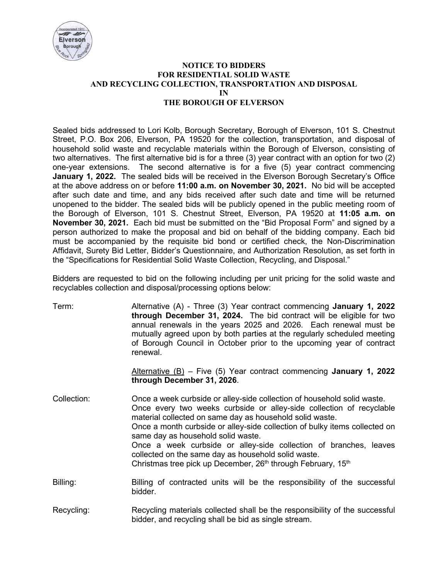

## **NOTICE TO BIDDERS FOR RESIDENTIAL SOLID WASTE AND RECYCLING COLLECTION, TRANSPORTATION AND DISPOSAL IN THE BOROUGH OF ELVERSON**

Sealed bids addressed to Lori Kolb, Borough Secretary, Borough of Elverson, 101 S. Chestnut Street, P.O. Box 206, Elverson, PA 19520 for the collection, transportation, and disposal of household solid waste and recyclable materials within the Borough of Elverson, consisting of two alternatives. The first alternative bid is for a three (3) year contract with an option for two (2) one-year extensions. The second alternative is for a five (5) year contract commencing **January 1, 2022.** The sealed bids will be received in the Elverson Borough Secretary's Office at the above address on or before **11:00 a.m. on November 30, 2021.** No bid will be accepted after such date and time, and any bids received after such date and time will be returned unopened to the bidder. The sealed bids will be publicly opened in the public meeting room of the Borough of Elverson, 101 S. Chestnut Street, Elverson, PA 19520 at **11:05 a.m. on November 30, 2021.** Each bid must be submitted on the "Bid Proposal Form" and signed by a person authorized to make the proposal and bid on behalf of the bidding company. Each bid must be accompanied by the requisite bid bond or certified check, the Non-Discrimination Affidavit, Surety Bid Letter, Bidder's Questionnaire, and Authorization Resolution, as set forth in the "Specifications for Residential Solid Waste Collection, Recycling, and Disposal."

Bidders are requested to bid on the following including per unit pricing for the solid waste and recyclables collection and disposal/processing options below:

| Term:       | Alternative $(A)$ - Three $(3)$ Year contract commencing <b>January 1, 2022</b><br>through December 31, 2024. The bid contract will be eligible for two<br>annual renewals in the years 2025 and 2026. Each renewal must be<br>mutually agreed upon by both parties at the regularly scheduled meeting<br>of Borough Council in October prior to the upcoming year of contract<br>renewal.                                                                                                                                                          |
|-------------|-----------------------------------------------------------------------------------------------------------------------------------------------------------------------------------------------------------------------------------------------------------------------------------------------------------------------------------------------------------------------------------------------------------------------------------------------------------------------------------------------------------------------------------------------------|
|             | Alternative $(B)$ – Five (5) Year contract commencing January 1, 2022<br>through December 31, 2026.                                                                                                                                                                                                                                                                                                                                                                                                                                                 |
| Collection: | Once a week curbside or alley-side collection of household solid waste.<br>Once every two weeks curbside or alley-side collection of recyclable<br>material collected on same day as household solid waste.<br>Once a month curbside or alley-side collection of bulky items collected on<br>same day as household solid waste.<br>Once a week curbside or alley-side collection of branches, leaves<br>collected on the same day as household solid waste.<br>Christmas tree pick up December, 26 <sup>th</sup> through February, 15 <sup>th</sup> |
| Billing:    | Billing of contracted units will be the responsibility of the successful<br>bidder.                                                                                                                                                                                                                                                                                                                                                                                                                                                                 |

Recycling: Recycling materials collected shall be the responsibility of the successful bidder, and recycling shall be bid as single stream.